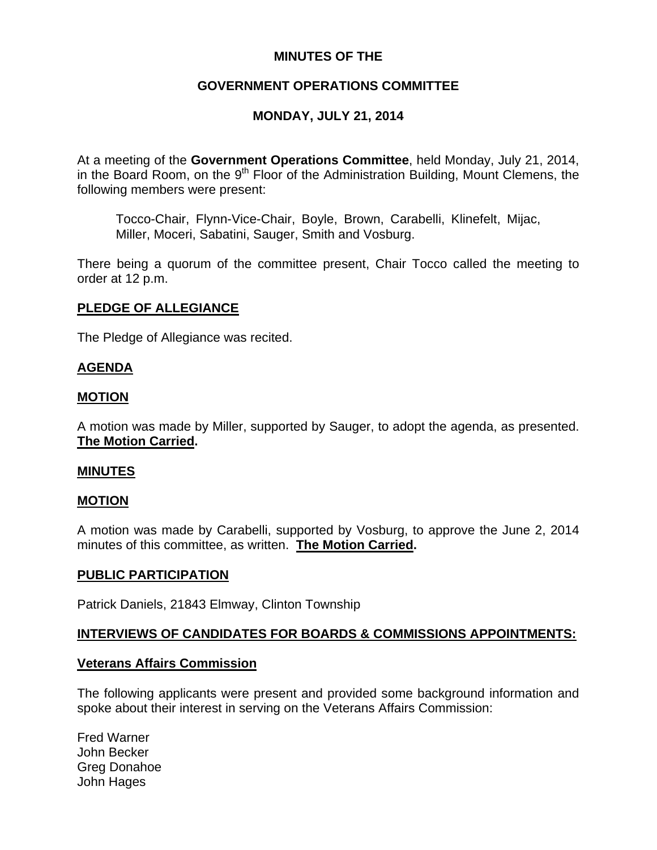# **MINUTES OF THE**

## **GOVERNMENT OPERATIONS COMMITTEE**

# **MONDAY, JULY 21, 2014**

At a meeting of the **Government Operations Committee**, held Monday, July 21, 2014, in the Board Room, on the 9<sup>th</sup> Floor of the Administration Building, Mount Clemens, the following members were present:

Tocco-Chair, Flynn-Vice-Chair, Boyle, Brown, Carabelli, Klinefelt, Mijac, Miller, Moceri, Sabatini, Sauger, Smith and Vosburg.

There being a quorum of the committee present, Chair Tocco called the meeting to order at 12 p.m.

### **PLEDGE OF ALLEGIANCE**

The Pledge of Allegiance was recited.

### **AGENDA**

### **MOTION**

A motion was made by Miller, supported by Sauger, to adopt the agenda, as presented. **The Motion Carried.** 

### **MINUTES**

### **MOTION**

A motion was made by Carabelli, supported by Vosburg, to approve the June 2, 2014 minutes of this committee, as written. **The Motion Carried.** 

#### **PUBLIC PARTICIPATION**

Patrick Daniels, 21843 Elmway, Clinton Township

### **INTERVIEWS OF CANDIDATES FOR BOARDS & COMMISSIONS APPOINTMENTS:**

### **Veterans Affairs Commission**

The following applicants were present and provided some background information and spoke about their interest in serving on the Veterans Affairs Commission:

Fred Warner John Becker Greg Donahoe John Hages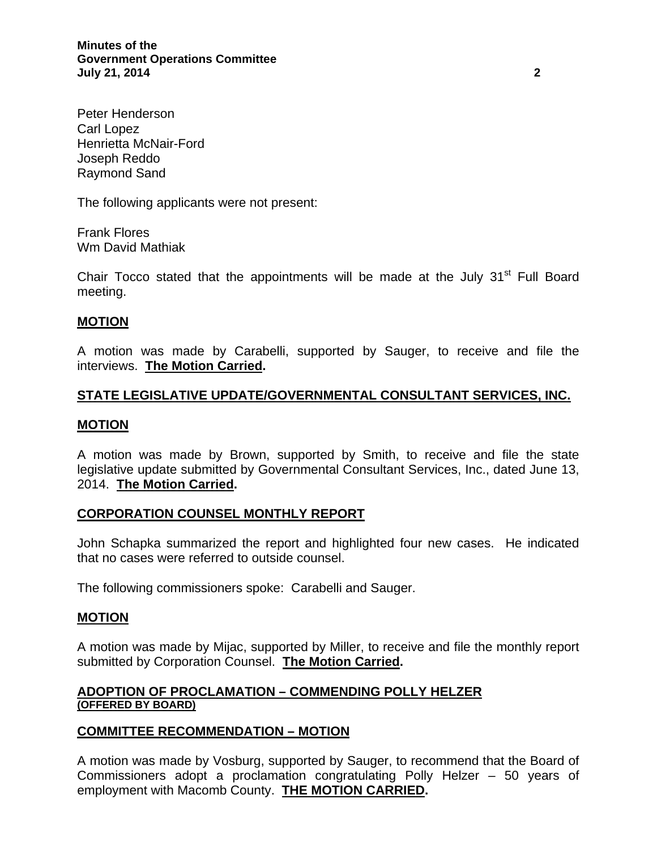**Minutes of the Government Operations Committee July 21, 2014 2** 

Peter Henderson Carl Lopez Henrietta McNair-Ford Joseph Reddo Raymond Sand

The following applicants were not present:

Frank Flores Wm David Mathiak

Chair Tocco stated that the appointments will be made at the July  $31<sup>st</sup>$  Full Board meeting.

### **MOTION**

A motion was made by Carabelli, supported by Sauger, to receive and file the interviews. **The Motion Carried.** 

### **STATE LEGISLATIVE UPDATE/GOVERNMENTAL CONSULTANT SERVICES, INC.**

### **MOTION**

A motion was made by Brown, supported by Smith, to receive and file the state legislative update submitted by Governmental Consultant Services, Inc., dated June 13, 2014. **The Motion Carried.** 

### **CORPORATION COUNSEL MONTHLY REPORT**

John Schapka summarized the report and highlighted four new cases. He indicated that no cases were referred to outside counsel.

The following commissioners spoke: Carabelli and Sauger.

#### **MOTION**

A motion was made by Mijac, supported by Miller, to receive and file the monthly report submitted by Corporation Counsel. **The Motion Carried.** 

### **ADOPTION OF PROCLAMATION – COMMENDING POLLY HELZER (OFFERED BY BOARD)**

### **COMMITTEE RECOMMENDATION – MOTION**

A motion was made by Vosburg, supported by Sauger, to recommend that the Board of Commissioners adopt a proclamation congratulating Polly Helzer – 50 years of employment with Macomb County. **THE MOTION CARRIED.**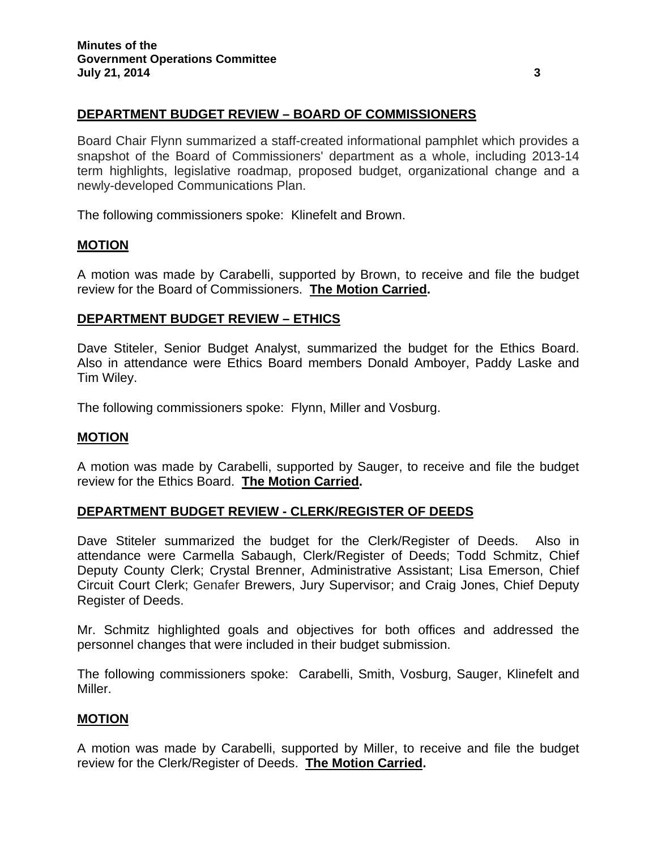## **DEPARTMENT BUDGET REVIEW – BOARD OF COMMISSIONERS**

Board Chair Flynn summarized a staff-created informational pamphlet which provides a snapshot of the Board of Commissioners' department as a whole, including 2013-14 term highlights, legislative roadmap, proposed budget, organizational change and a newly-developed Communications Plan.

The following commissioners spoke: Klinefelt and Brown.

#### **MOTION**

A motion was made by Carabelli, supported by Brown, to receive and file the budget review for the Board of Commissioners. **The Motion Carried.** 

#### **DEPARTMENT BUDGET REVIEW – ETHICS**

Dave Stiteler, Senior Budget Analyst, summarized the budget for the Ethics Board. Also in attendance were Ethics Board members Donald Amboyer, Paddy Laske and Tim Wiley.

The following commissioners spoke: Flynn, Miller and Vosburg.

### **MOTION**

A motion was made by Carabelli, supported by Sauger, to receive and file the budget review for the Ethics Board. **The Motion Carried.** 

### **DEPARTMENT BUDGET REVIEW - CLERK/REGISTER OF DEEDS**

Dave Stiteler summarized the budget for the Clerk/Register of Deeds. Also in attendance were Carmella Sabaugh, Clerk/Register of Deeds; Todd Schmitz, Chief Deputy County Clerk; Crystal Brenner, Administrative Assistant; Lisa Emerson, Chief Circuit Court Clerk; Genafer Brewers, Jury Supervisor; and Craig Jones, Chief Deputy Register of Deeds.

Mr. Schmitz highlighted goals and objectives for both offices and addressed the personnel changes that were included in their budget submission.

The following commissioners spoke: Carabelli, Smith, Vosburg, Sauger, Klinefelt and Miller.

### **MOTION**

A motion was made by Carabelli, supported by Miller, to receive and file the budget review for the Clerk/Register of Deeds. **The Motion Carried.**